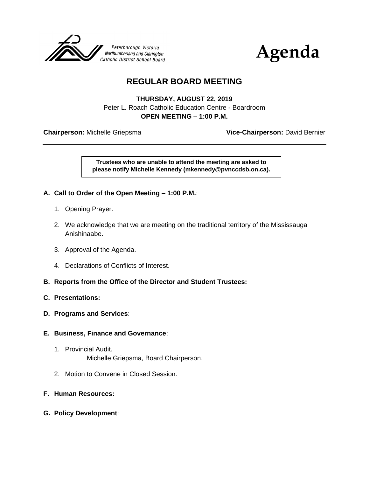



## **REGULAR BOARD MEETING**

**THURSDAY, AUGUST 22, 2019** Peter L. Roach Catholic Education Centre - Boardroom **OPEN MEETING – 1:00 P.M.**

**Chairperson:** Michelle Griepsma **Vice-Chairperson:** David Bernier

**Trustees who are unable to attend the meeting are asked to please notify Michelle Kennedy (mkennedy@pvnccdsb.on.ca).**

- **A. Call to Order of the Open Meeting – 1:00 P.M.**:
	- 1. Opening Prayer.
	- 2. We acknowledge that we are meeting on the traditional territory of the Mississauga Anishinaabe.
	- 3. Approval of the Agenda.
	- 4. Declarations of Conflicts of Interest.
- **B. Reports from the Office of the Director and Student Trustees:**
- **C. Presentations:**
- **D. Programs and Services**:
- **E. Business, Finance and Governance**:
	- 1. Provincial Audit. Michelle Griepsma, Board Chairperson.
	- 2. Motion to Convene in Closed Session.
- **F. Human Resources:**
- **G. Policy Development**: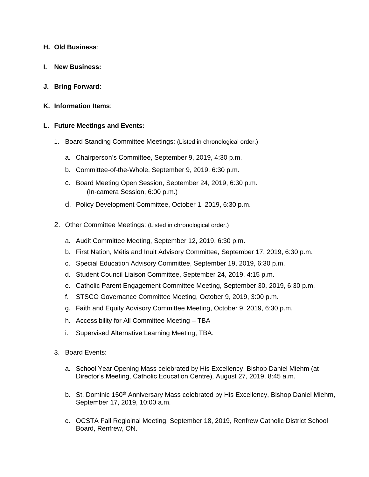- **H. Old Business**:
- **I. New Business:**
- **J. Bring Forward**:
- **K. Information Items**:

## **L. Future Meetings and Events:**

- 1. Board Standing Committee Meetings: (Listed in chronological order.)
	- a. Chairperson's Committee, September 9, 2019, 4:30 p.m.
	- b. Committee-of-the-Whole, September 9, 2019, 6:30 p.m.
	- c. Board Meeting Open Session, September 24, 2019, 6:30 p.m. (In-camera Session, 6:00 p.m.)
	- d. Policy Development Committee, October 1, 2019, 6:30 p.m.
- 2. Other Committee Meetings: (Listed in chronological order.)
	- a. Audit Committee Meeting, September 12, 2019, 6:30 p.m.
	- b. First Nation, Métis and Inuit Advisory Committee, September 17, 2019, 6:30 p.m.
	- c. Special Education Advisory Committee, September 19, 2019, 6:30 p.m.
	- d. Student Council Liaison Committee, September 24, 2019, 4:15 p.m.
	- e. Catholic Parent Engagement Committee Meeting, September 30, 2019, 6:30 p.m.
	- f. STSCO Governance Committee Meeting, October 9, 2019, 3:00 p.m.
	- g. Faith and Equity Advisory Committee Meeting, October 9, 2019, 6:30 p.m.
	- h. Accessibility for All Committee Meeting TBA
	- i. Supervised Alternative Learning Meeting, TBA.
- 3. Board Events:
	- a. School Year Opening Mass celebrated by His Excellency, Bishop Daniel Miehm (at Director's Meeting, Catholic Education Centre), August 27, 2019, 8:45 a.m.
	- b. St. Dominic 150<sup>th</sup> Anniversary Mass celebrated by His Excellency, Bishop Daniel Miehm, September 17, 2019, 10:00 a.m.
	- c. OCSTA Fall Regioinal Meeting, September 18, 2019, Renfrew Catholic District School Board, Renfrew, ON.